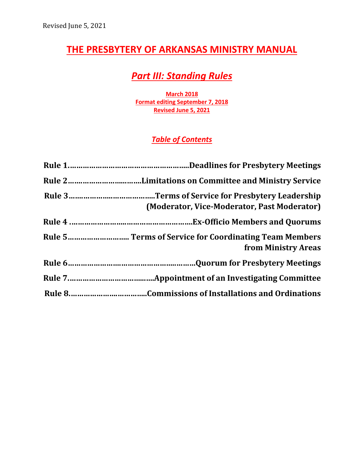# **THE PRESBYTERY OF ARKANSAS MINISTRY MANUAL**

# *Part III: Standing Rules*

**March 2018 Format editing September 7, 2018 Revised June 5, 2021**

# *Table of Contents*

| (Moderator, Vice-Moderator, Past Moderator) |
|---------------------------------------------|
|                                             |
| from Ministry Areas                         |
|                                             |
|                                             |
|                                             |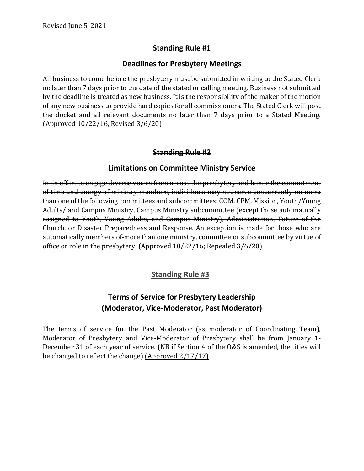# **Standing Rule #1**

#### **Deadlines for Presbytery Meetings**

All business to come before the presbytery must be submitted in writing to the Stated Clerk no later than 7 days prior to the date of the stated or calling meeting. Business not submitted by the deadline is treated as new business. It is the responsibility of the maker of the motion of any new business to provide hard copies for all commissioners. The Stated Clerk will post the docket and all relevant documents no later than 7 days prior to a Stated Meeting. (Approved 10/22/16, Revised 3/6/20)

#### **Standing Rule #2**

#### **Limitations on Committee Ministry Service**

In an effort to engage diverse voices from across the presbytery and honor the commitment of time and energy of ministry members, individuals may not serve concurrently on more than one of the following committees and subcommittees: COM, CPM, Mission, Youth/Young Adults/ and Campus Ministry, Campus Ministry subcommittee (except those automatically assigned to Youth, Young Adults, and Campus Ministry), Administration, Future of the Church, or Disaster Preparedness and Response. An exception is made for those who are automatically members of more than one ministry, committee or subcommittee by virtue of office or role in the presbytery. (Approved 10/22/16; Repealed 3/6/20)

#### **Standing Rule #3**

# **Terms of Service for Presbytery Leadership (Moderator, Vice-Moderator, Past Moderator)**

The terms of service for the Past Moderator (as moderator of Coordinating Team), Moderator of Presbytery and Vice-Moderator of Presbytery shall be from January 1- December 31 of each year of service. (NB if Section 4 of the O&S is amended, the titles will be changed to reflect the change) (Approved 2/17/17)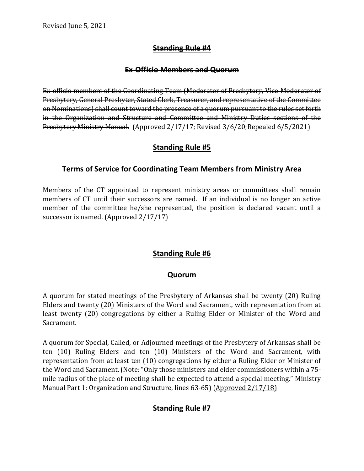## **Standing Rule #4**

#### **Ex-Officio Members and Quorum**

Ex-officio members of the Coordinating Team (Moderator of Presbytery, Vice-Moderator of Presbytery, General Presbyter, Stated Clerk, Treasurer, and representative of the Committee on Nominations) shall count toward the presence of a quorum pursuant to the rules set forth in the Organization and Structure and Committee and Ministry Duties sections of the Presbytery Ministry Manual. (Approved 2/17/17; Revised 3/6/20;Repealed 6/5/2021)

## **Standing Rule #5**

## **Terms of Service for Coordinating Team Members from Ministry Area**

Members of the CT appointed to represent ministry areas or committees shall remain members of CT until their successors are named. If an individual is no longer an active member of the committee he/she represented, the position is declared vacant until a successor is named. (Approved 2/17/17)

# **Standing Rule #6**

#### **Quorum**

A quorum for stated meetings of the Presbytery of Arkansas shall be twenty (20) Ruling Elders and twenty (20) Ministers of the Word and Sacrament, with representation from at least twenty (20) congregations by either a Ruling Elder or Minister of the Word and Sacrament.

A quorum for Special, Called, or Adjourned meetings of the Presbytery of Arkansas shall be ten (10) Ruling Elders and ten (10) Ministers of the Word and Sacrament, with representation from at least ten (10) congregations by either a Ruling Elder or Minister of the Word and Sacrament. (Note: "Only those ministers and elder commissioners within a 75 mile radius of the place of meeting shall be expected to attend a special meeting." Ministry Manual Part 1: Organization and Structure, lines 63-65) (Approved 2/17/18)

# **Standing Rule #7**